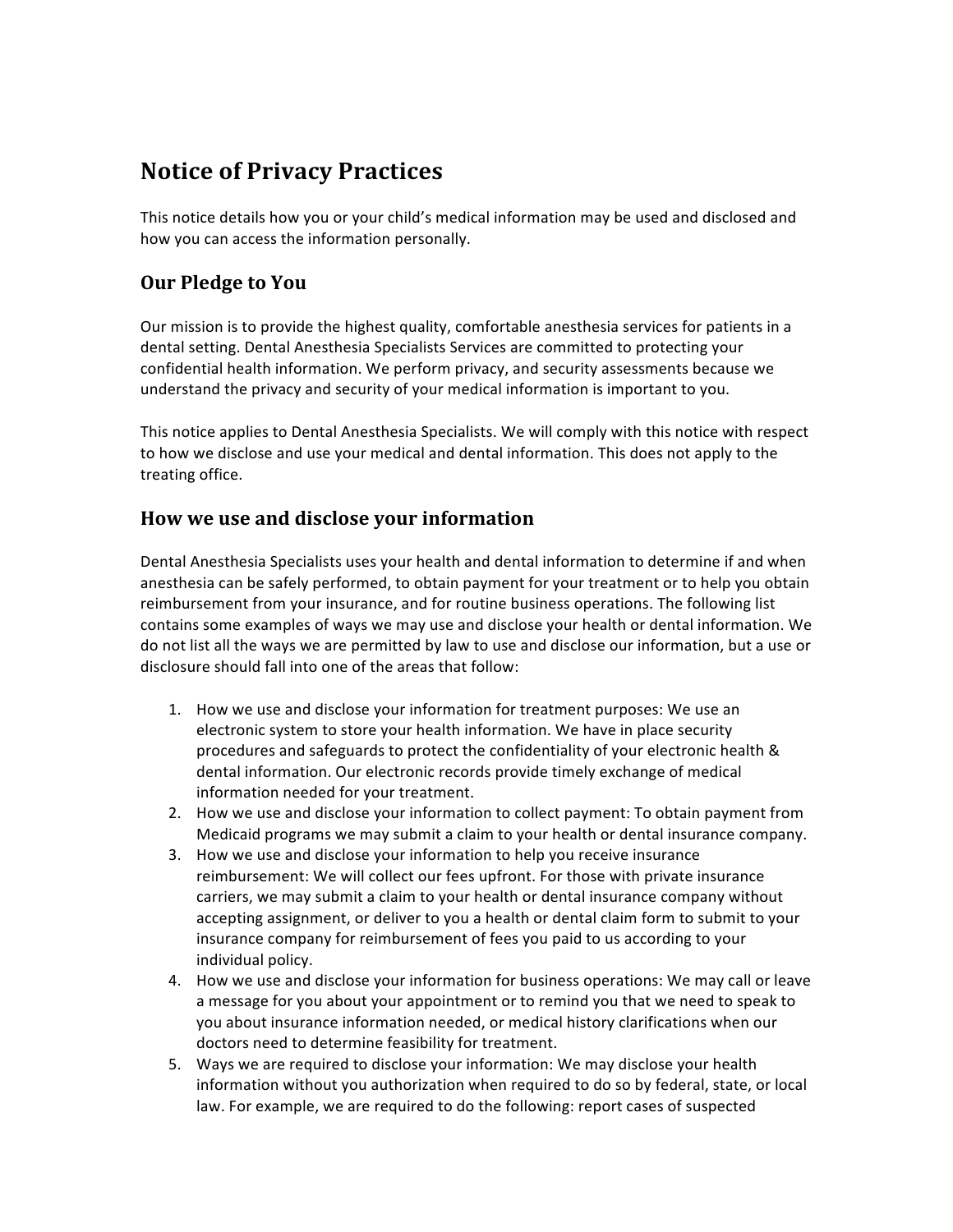# **Notice of Privacy Practices**

This notice details how you or your child's medical information may be used and disclosed and how you can access the information personally.

# **Our Pledge to You**

Our mission is to provide the highest quality, comfortable anesthesia services for patients in a dental setting. Dental Anesthesia Specialists Services are committed to protecting your confidential health information. We perform privacy, and security assessments because we understand the privacy and security of your medical information is important to you.

This notice applies to Dental Anesthesia Specialists. We will comply with this notice with respect to how we disclose and use your medical and dental information. This does not apply to the treating office.

## **How** we use and disclose your information

Dental Anesthesia Specialists uses your health and dental information to determine if and when anesthesia can be safely performed, to obtain payment for your treatment or to help you obtain reimbursement from your insurance, and for routine business operations. The following list contains some examples of ways we may use and disclose your health or dental information. We do not list all the ways we are permitted by law to use and disclose our information, but a use or disclosure should fall into one of the areas that follow:

- 1. How we use and disclose your information for treatment purposes: We use an electronic system to store your health information. We have in place security procedures and safeguards to protect the confidentiality of your electronic health & dental information. Our electronic records provide timely exchange of medical information needed for your treatment.
- 2. How we use and disclose your information to collect payment: To obtain payment from Medicaid programs we may submit a claim to your health or dental insurance company.
- 3. How we use and disclose your information to help you receive insurance reimbursement: We will collect our fees upfront. For those with private insurance carriers, we may submit a claim to your health or dental insurance company without accepting assignment, or deliver to you a health or dental claim form to submit to your insurance company for reimbursement of fees you paid to us according to your individual policy.
- 4. How we use and disclose your information for business operations: We may call or leave a message for you about your appointment or to remind you that we need to speak to you about insurance information needed, or medical history clarifications when our doctors need to determine feasibility for treatment.
- 5. Ways we are required to disclose your information: We may disclose your health information without you authorization when required to do so by federal, state, or local law. For example, we are required to do the following: report cases of suspected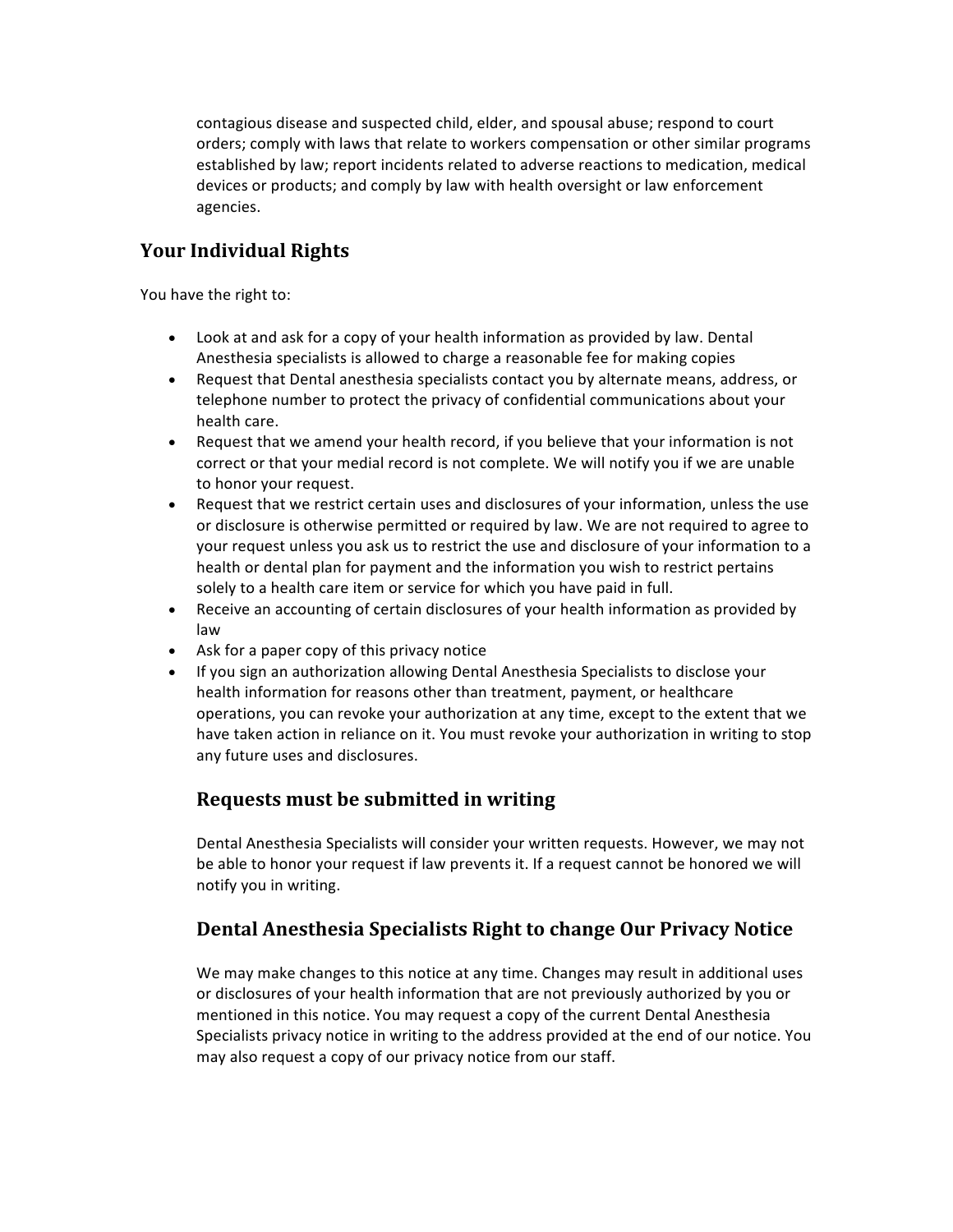contagious disease and suspected child, elder, and spousal abuse; respond to court orders; comply with laws that relate to workers compensation or other similar programs established by law; report incidents related to adverse reactions to medication, medical devices or products; and comply by law with health oversight or law enforcement agencies. 

# **Your Individual Rights**

You have the right to:

- Look at and ask for a copy of your health information as provided by law. Dental Anesthesia specialists is allowed to charge a reasonable fee for making copies
- Request that Dental anesthesia specialists contact you by alternate means, address, or telephone number to protect the privacy of confidential communications about your health care.
- Request that we amend your health record, if you believe that your information is not correct or that your medial record is not complete. We will notify you if we are unable to honor your request.
- Request that we restrict certain uses and disclosures of your information, unless the use or disclosure is otherwise permitted or required by law. We are not required to agree to your request unless you ask us to restrict the use and disclosure of your information to a health or dental plan for payment and the information you wish to restrict pertains solely to a health care item or service for which you have paid in full.
- Receive an accounting of certain disclosures of your health information as provided by law
- Ask for a paper copy of this privacy notice
- If you sign an authorization allowing Dental Anesthesia Specialists to disclose your health information for reasons other than treatment, payment, or healthcare operations, you can revoke your authorization at any time, except to the extent that we have taken action in reliance on it. You must revoke your authorization in writing to stop any future uses and disclosures.

#### **Requests must be submitted in writing**

Dental Anesthesia Specialists will consider your written requests. However, we may not be able to honor your request if law prevents it. If a request cannot be honored we will notify you in writing.

## **Dental Anesthesia Specialists Right to change Our Privacy Notice**

We may make changes to this notice at any time. Changes may result in additional uses or disclosures of your health information that are not previously authorized by you or mentioned in this notice. You may request a copy of the current Dental Anesthesia Specialists privacy notice in writing to the address provided at the end of our notice. You may also request a copy of our privacy notice from our staff.